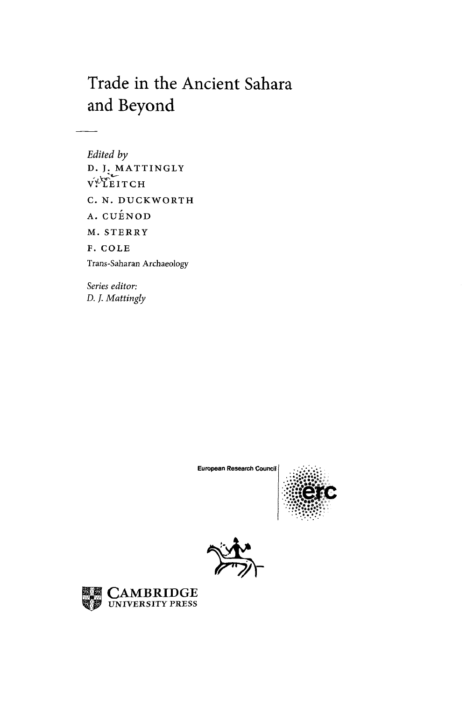## Trade in the Ancient Sahara and Beyond

*Edited by*  D. J. MATTINGLY vYTEIT C H C. N. DUCKWORTH A. CUENOD M. STERRY F. COLE Trans-Saharan Archaeology

*Series editor: D. J. Mattingly* 

European Research Council





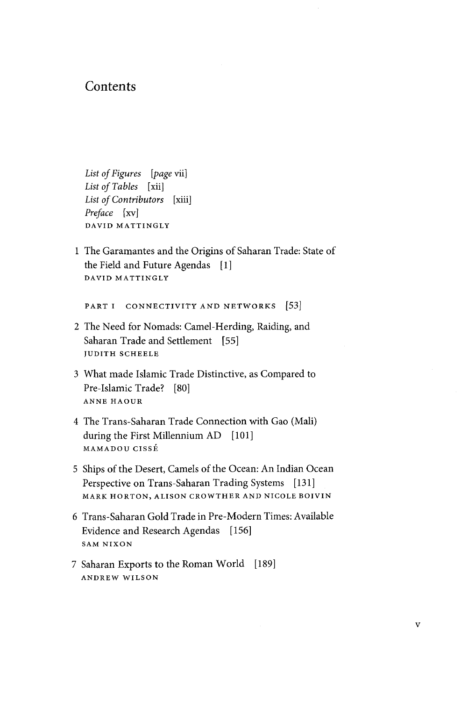## **Contents**

*List of Figures* [*page* vii] List of Tables [xii] *List of Contributors* [xiii] *Preface* [xv] DAVID MATTINGLY

1 The Garamantes and the Origins of Saharan Trade: State of the Field and Future Agendas [1] DAVID MATTINGLY

PART I CONNECTIVITY AND NETWORKS [53]

- 2 The Need for Nomads: Camel-Herding, Raiding, and Saharan Trade and Settlement [55] JUDITH SCHEELE
- 3 What made Islamic Trade Distinctive, as Compared to Pre-Islamic Trade? [80] ANNE HAOUR
- 4 The Trans-Saharan Trade Connection with Gao (Mali) during the First Millennium AD [101] MAMADOU CISSE
- 5 Ships of the Desert, Cameis of the Ocean: An Indian Ocean Perspective on Trans-Saharan Trading Systems [131] MARK HORTON, ALISON CROWTHER AND NICOLE BOIVIN
- 6 Trans-Saharan Gold Trade in Pre-Modern Times: Available Evidence and Research Agendas [156] SAM NIXON
- 7 Saharan Exports to the Roman World [189] ANDREW WILSON